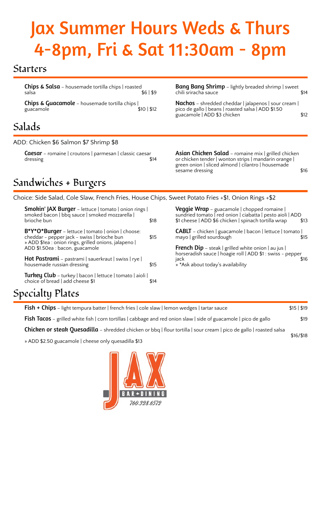# Jax Summer Hours Weds & Thurs 4-8pm, Fri & Sat 11:30am - 8pm

### Starters

Chips & Salsa – housemade tortilla chips | roasted salsa \$6 | \$9

Chips & Guacamole – housemade tortilla chips | guacamole

## Salads

ADD: Chicken \$6 Salmon \$7 Shrimp \$8

**Caesar** – romaine | croutons | parmesan | classic caesar<br>dressing **14** dressing

**Bang Bang Shrimp** - lightly breaded shrimp | sweet chili sriracha sauce \$14

Nachos - shredded cheddar | jalapenos | sour cream | pico de gallo | beans | roasted salsa | ADD \$1.50 guacamole | ADD \$3 chicken  $$12$ 

Asian Chicken Salad - romaine mix | grilled chicken or chicken tender | wonton strips | mandarin orange | green onion | sliced almond | cilantro | housemade sesame dressing \$16

## Sandwiches + Burgers

Choice: Side Salad, Cole Slaw, French Fries, House Chips, Sweet Potato Fries +\$1, Onion Rings +\$2

| <b>Smokin' JAX Burger</b> – lettuce   tomato   onion rings  <br>smoked bacon   bbq sauce   smoked mozzarella                                                                                      |      |
|---------------------------------------------------------------------------------------------------------------------------------------------------------------------------------------------------|------|
| brioche bun                                                                                                                                                                                       | \$18 |
| $B^*Y^*O^*Burger$ – lettuce   tomato   onion   choose:<br>cheddar - pepper jack - swiss   brioche bun<br>» ADD \$1ea : onion rings, grilled onions, jalapeno  <br>ADD \$1.50ea : bacon, guacamole | \$15 |
| <b>Hot Pastrami</b> – pastrami   sauerkraut   swiss   rye  <br>housemade russian dressing                                                                                                         | \$15 |
| Turkey Club - turkey   bacon   lettuce   tomato   aioli  <br>choice of bread   add cheese \$1                                                                                                     |      |

**Veggie Wrap** – guacamole | chopped romaine | sundried tomato | red onion | ciabatta | pesto aioli | ADD<br>\$1 cheese | ADD \$6 chicken | spinach tortilla wrap \$13 \$1 cheese | ADD \$6 chicken | spinach tortilla wrap

CABLT – chicken | guacamole | bacon | lettuce | tomato | mayo | grilled sourdough  $\sim$  \$15

**French Dip** – steak | grilled white onion | au jus | horseradish sauce | hoagie roll | ADD \$1 : swiss - pepper jack \$16 » \*Ask about today's availability

# Specialty Plates

| <b>Fish + Chips</b> – light tempura batter   french fries   cole slaw   lemon wedges   tartar sauce                              | \$15   \$19 |  |
|----------------------------------------------------------------------------------------------------------------------------------|-------------|--|
| <b>Fish Tacos</b> – grilled white fish $ $ corn tortillas $ $ cabbage and red onion slaw $ $ side of guacamole $ $ pico de gallo | \$19        |  |
| Chicken or steak Quesadilla - shredded chicken or bbq   flour tortilla   sour cream   pico de gallo   roasted salsa              | \$16/\$18   |  |
| » ADD \$2.50 guacamole   cheese only quesadilla \$13                                                                             |             |  |